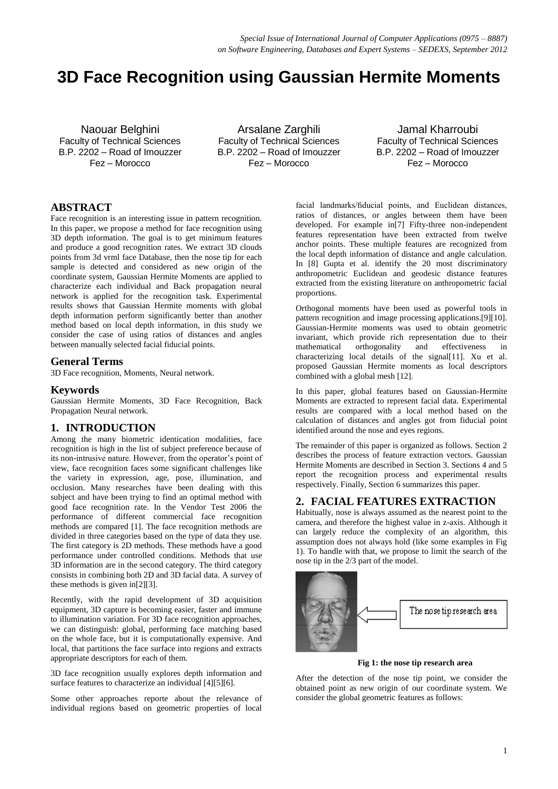# **3D Face Recognition using Gaussian Hermite Moments**

Naouar Belghini Faculty of Technical Sciences B.P. 2202 – Road of Imouzzer Fez – Morocco

Arsalane Zarghili Faculty of Technical Sciences B.P. 2202 – Road of Imouzzer Fez – Morocco

Jamal Kharroubi Faculty of Technical Sciences B.P. 2202 – Road of Imouzzer Fez – Morocco

## **ABSTRACT**

Face recognition is an interesting issue in pattern recognition. In this paper, we propose a method for face recognition using 3D depth information. The goal is to get minimum features and produce a good recognition rates. We extract 3D clouds points from 3d vrml face Database, then the nose tip for each sample is detected and considered as new origin of the coordinate system, Gaussian Hermite Moments are applied to characterize each individual and Back propagation neural network is applied for the recognition task. Experimental results shows that Gaussian Hermite moments with global depth information perform significantly better than another method based on local depth information, in this study we consider the case of using ratios of distances and angles between manually selected facial fiducial points.

#### **General Terms**

3D Face recognition, Moments, Neural network.

### **Keywords**

Gaussian Hermite Moments, 3D Face Recognition, Back Propagation Neural network.

## **1. INTRODUCTION**

Among the many biometric identication modalities, face recognition is high in the list of subject preference because of its non-intrusive nature. However, from the operator's point of view, face recognition faces some significant challenges like the variety in expression, age, pose, illumination, and occlusion. Many researches have been dealing with this subject and have been trying to find an optimal method with good face recognition rate. In the Vendor Test 2006 the performance of different commercial face recognition methods are compared [1]. The face recognition methods are divided in three categories based on the type of data they use. The first category is 2D methods. These methods have a good performance under controlled conditions. Methods that use 3D information are in the second category. The third category consists in combining both 2D and 3D facial data. A survey of these methods is given in[2][3].

Recently, with the rapid development of 3D acquisition equipment, 3D capture is becoming easier, faster and immune to illumination variation. For 3D face recognition approaches, we can distinguish: global, performing face matching based on the whole face, but it is computationally expensive. And local, that partitions the face surface into regions and extracts appropriate descriptors for each of them.

3D face recognition usually explores depth information and surface features to characterize an individual [4][5][6].

Some other approaches reporte about the relevance of individual regions based on geometric properties of local

facial landmarks/fiducial points, and Euclidean distances, ratios of distances, or angles between them have been developed. For example in[7] Fifty-three non-independent features representation have been extracted from twelve anchor points. These multiple features are recognized from the local depth information of distance and angle calculation. In [8] Gupta et al. identify the 20 most discriminatory anthropometric Euclidean and geodesic distance features extracted from the existing literature on anthropometric facial proportions.

Orthogonal moments have been used as powerful tools in pattern recognition and image processing applications.[9][10]. Gaussian-Hermite moments was used to obtain geometric invariant, which provide rich representation due to their mathematical orthogonality and effectiveness in characterizing local details of the signal[11]. Xu et al. proposed Gaussian Hermite moments as local descriptors combined with a global mesh [12].

In this paper, global features based on Gaussian-Hermite Moments are extracted to represent facial data. Experimental results are compared with a local method based on the calculation of distances and angles got from fiducial point identified around the nose and eyes regions.

The remainder of this paper is organized as follows. Section 2 describes the process of feature extraction vectors. Gaussian Hermite Moments are described in Section 3. Sections 4 and 5 report the recognition process and experimental results respectively. Finally, Section 6 summarizes this paper.

## **2. FACIAL FEATURES EXTRACTION**

Habitually, nose is always assumed as the nearest point to the camera, and therefore the highest value in z-axis. Although it can largely reduce the complexity of an algorithm, this assumption does not always hold (like some examples in Fig 1). To handle with that, we propose to limit the search of the nose tip in the 2/3 part of the model.



 **Fig 1: the nose tip research area**

After the detection of the nose tip point, we consider the obtained point as new origin of our coordinate system. We consider the global geometric features as follows: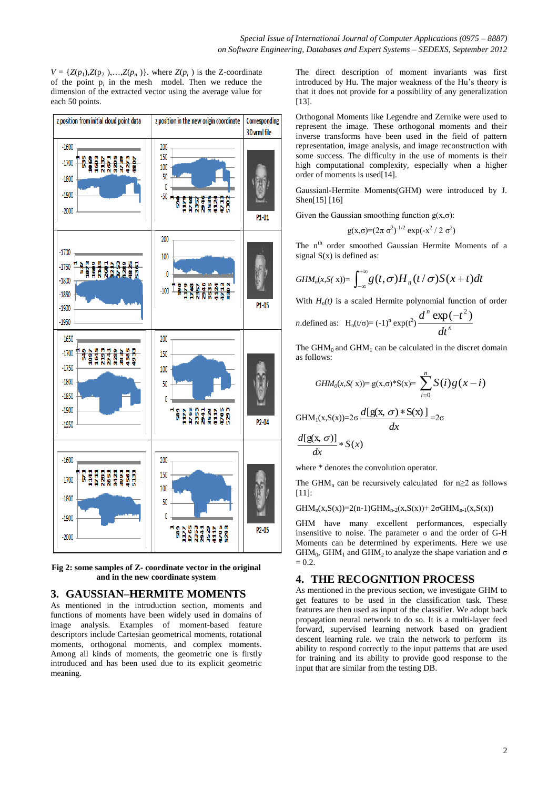$V = \{Z(p_1), Z(p_2), \ldots, Z(p_n)\}$ . where  $Z(p_i)$  is the Z-coordinate of the point  $p_i$  in the mesh model. Then we reduce the dimension of the extracted vector using the average value for each 50 points.



**Fig 2: some samples of Z- coordinate vector in the original and in the new coordinate system** 

## **3. GAUSSIAN–HERMITE MOMENTS**

As mentioned in the introduction section, moments and functions of moments have been widely used in domains of image analysis. Examples of moment-based feature descriptors include Cartesian geometrical moments, rotational moments, orthogonal moments, and complex moments. Among all kinds of moments, the geometric one is firstly introduced and has been used due to its explicit geometric meaning.

The direct description of moment invariants was first introduced by Hu. The major weakness of the Hu's theory is that it does not provide for a possibility of any generalization [13].

Orthogonal Moments like Legendre and Zernike were used to represent the image. These orthogonal moments and their inverse transforms have been used in the field of pattern representation, image analysis, and image reconstruction with some success. The difficulty in the use of moments is their high computational complexity, especially when a higher order of moments is used[14].

Gaussianl-Hermite Moments(GHM) were introduced by J. Shen[15] [16]

Given the Gaussian smoothing function  $g(x,\sigma)$ :

$$
g(x,\sigma)=(2\pi \sigma^2)^{-1/2} \exp(-x^2/2 \sigma^2)
$$

The n<sup>th</sup> order smoothed Gaussian Hermite Moments of a signal  $S(x)$  is defined as:

$$
GHM_n(x,S(x))=\int_{-\infty}^{+\infty}g(t,\sigma)H_n(t/\sigma)S(x+t)dt
$$

With  $H_n(t)$  is a scaled Hermite polynomial function of order

$$
n.\text{defined as: } H_n(t/\sigma) = (-1)^n \exp(t^2) \frac{d^n \exp(-t^2)}{dt^n}
$$

The  $GHM_0$  and  $GHM_1$  can be calculated in the discret domain as follows:

$$
GHM_0(x,S(x))=g(x,\sigma)^*S(x)=\sum_{i=0}^n S(i)g(x-i)
$$

$$
GHM1(x,S(x))=2\sigma \frac{d[g(x, \sigma)*S(x)]}{dx}=2\sigma
$$

$$
\frac{d[g(x, \sigma)]}{dx}*S(x)
$$

where  $*$  denotes the convolution operator.

The GHM<sub>n</sub> can be recursively calculated for  $n \geq 2$  as follows [11]:

GHM<sub>n</sub>(x,S(x))=2(n-1)GHM<sub>n-2</sub>(x,S(x))+ 2 $\sigma$ GHM<sub>n-1</sub>(x,S(x))

GHM have many excellent performances, especially insensitive to noise. The parameter  $σ$  and the order of G-H Moments can be determined by experiments. Here we use  $GHM<sub>0</sub>$ ,  $GHM<sub>1</sub>$  and  $GHM<sub>2</sub>$  to analyze the shape variation and  $\sigma$  $= 0.2.$ 

## **4. THE RECOGNITION PROCESS**

As mentioned in the previous section, we investigate GHM to get features to be used in the classification task. These features are then used as input of the classifier. We adopt back propagation neural network to do so. It is a multi-layer feed forward, supervised learning network based on gradient descent learning rule. we train the network to perform its ability to respond correctly to the input patterns that are used for training and its ability to provide good response to the input that are similar from the testing DB.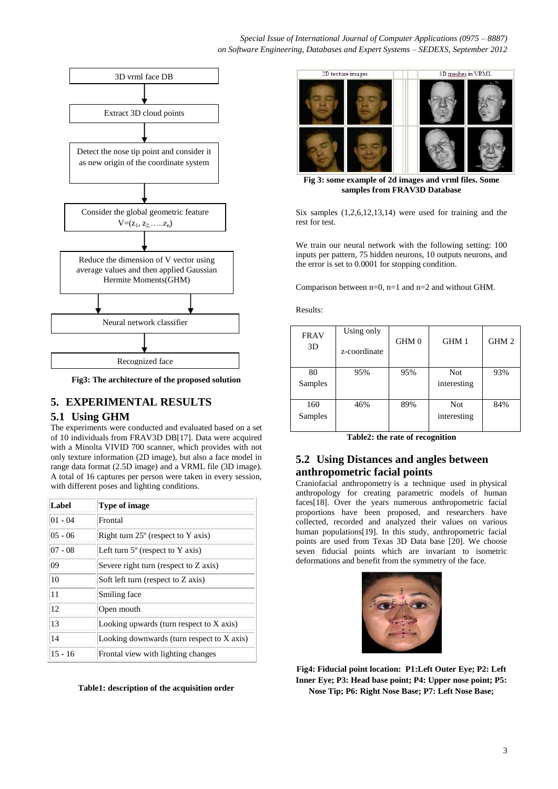### *Special Issue of International Journal of Computer Applications (0975 – 8887) on Software Engineering, Databases and Expert Systems – SEDEXS, September 2012*



**Fig3: The architecture of the proposed solution**

# **5. EXPERIMENTAL RESULTS**

## **5.1 Using GHM**

The experiments were conducted and evaluated based on a set of 10 individuals from FRAV3D DB[17]. Data were acquired with a Minolta VIVID 700 scanner, which provides with not only texture information (2D image), but also a face model in range data format (2.5D image) and a VRML file (3D image). A total of 16 captures per person were taken in every session, with different poses and lighting conditions.

| Label     | <b>Type of image</b>                        |
|-----------|---------------------------------------------|
| $01 - 04$ | Frontal                                     |
| $05 - 06$ | Right turn $25^{\circ}$ (respect to Y axis) |
| $07 - 08$ | Left turn $5^\circ$ (respect to Y axis)     |
| 09        | Severe right turn (respect to Z axis)       |
| 10        | Soft left turn (respect to Z axis)          |
| 11        | Smiling face                                |
| 12        | Open mouth                                  |
| 13        | Looking upwards (turn respect to $X$ axis)  |
| 14        | Looking downwards (turn respect to X axis)  |
| $15 - 16$ | Frontal view with lighting changes          |

**Table1: description of the acquisition order**



**Fig 3: some example of 2d images and vrml files. Some samples from FRAV3D Database**

Six samples (1,2,6,12,13,14) were used for training and the rest for test.

We train our neural network with the following setting: 100 inputs per pattern, 75 hidden neurons, 10 outputs neurons, and the error is set to 0.0001 for stopping condition.

Comparison between n=0, n=1 and n=2 and without GHM.

Results:

| <b>FRAV</b><br>3D | Using only<br>z-coordinate | GHM 0 | GHM 1       | GHM 2 |
|-------------------|----------------------------|-------|-------------|-------|
| 80                | 95%                        | 95%   | Not         | 93%   |
| Samples           |                            |       | interesting |       |
| 160               | 46%                        | 89%   | <b>Not</b>  | 84%   |
| Samples           |                            |       | interesting |       |

**Table2: the rate of recognition** 

# **5.2 Using Distances and angles between anthropometric facial points**

Craniofacial anthropometry is a technique used in [physical](http://en.wikipedia.org/wiki/Physical_anthropology)  [anthropology](http://en.wikipedia.org/wiki/Physical_anthropology) for creating parametric models of human faces[18]. Over the years numerous anthropometric facial proportions have been proposed, and researchers have collected, recorded and analyzed their values on various human populations[19]. In this study, anthropometric facial points are used from Texas 3D Data base [20]. We choose seven fiducial points which are invariant to isometric deformations and benefit from the symmetry of the face.



**Fig4: Fiducial point location: P1:Left Outer Eye; P2: Left Inner Eye; P3: Head base point; P4: Upper nose point; P5: Nose Tip; P6: Right Nose Base; P7: Left Nose Base;**